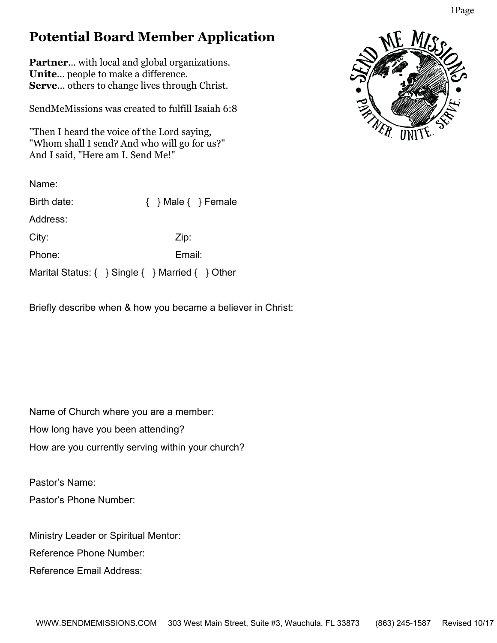## **Potential Board Member Application**

**Partner**... with local and global organizations. **Unite**... people to make a difference. **Serve**... others to change lives through Christ.

SendMeMissions was created to fulfill Isaiah 6:8

"Then I heard the voice of the Lord saying, "Whom shall I send? And who will go for us?" And I said, "Here am I. Send Me!"

Name:

| Birth date:                                                  |        | $\{ \}$ Male $\{ \}$ Female |  |
|--------------------------------------------------------------|--------|-----------------------------|--|
| Address:                                                     |        |                             |  |
| City:                                                        |        | Zip:                        |  |
| Phone:                                                       | Email: |                             |  |
| Marital Status: $\{ \}$ Single $\{ \}$ Married $\{ \}$ Other |        |                             |  |

Briefly describe when & how you became a believer in Christ:

Name of Church where you are a member: How long have you been attending? How are you currently serving within your church?

Pastor's Name: Pastor's Phone Number:

Ministry Leader or Spiritual Mentor: Reference Phone Number:

Reference Email Address: